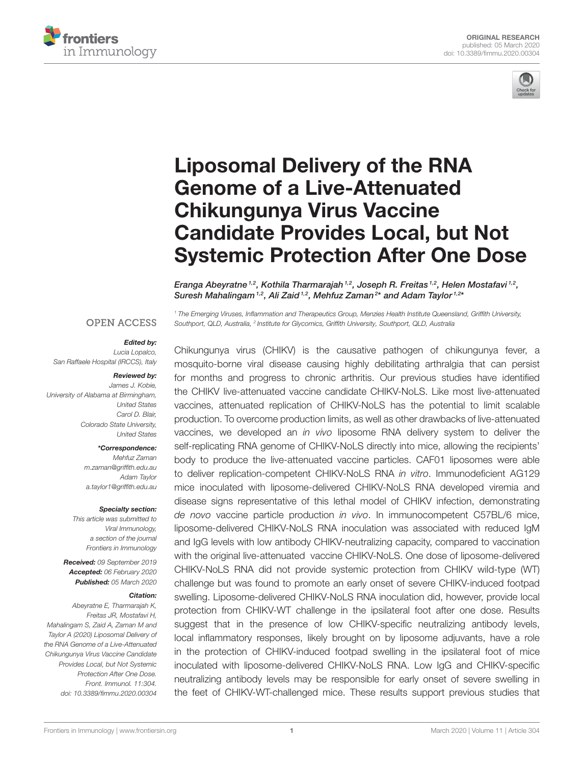



# Liposomal Delivery of the RNA Genome of a Live-Attenuated Chikungunya Virus Vaccine Candidate Provides Local, but Not Systemic Protection After One Dose

Eranga Abeyratne  $^{1,2}$ , Kothila Tharmarajah  $^{1,2}$ , Joseph R. Freitas  $^{1,2}$ , Helen Mostafavi  $^{1,2}$ , Suresh Mahalingam  $1,2$ , Ali Zaid  $1,2$ , Mehfuz Zaman $^{2*}$  and Adam Taylor  $1,2*$ 

*<sup>1</sup> The Emerging Viruses, Inflammation and Therapeutics Group, Menzies Health Institute Queensland, Griffith University,*

*Southport, QLD, Australia, <sup>2</sup> Institute for Glycomics, Griffith University, Southport, QLD, Australia*

**OPEN ACCESS** 

#### Edited by:

*Lucia Lopalco, San Raffaele Hospital (IRCCS), Italy*

#### Reviewed by:

*James J. Kobie, University of Alabama at Birmingham, United States Carol D. Blair, Colorado State University, United States*

#### \*Correspondence:

*Mehfuz Zaman m.zaman@griffith.edu.au Adam Taylor a.taylor1@griffith.edu.au*

#### Specialty section:

*This article was submitted to Viral Immunology, a section of the journal Frontiers in Immunology*

Received: *09 September 2019* Accepted: *06 February 2020* Published: *05 March 2020*

#### Citation:

*Abeyratne E, Tharmarajah K, Freitas JR, Mostafavi H, Mahalingam S, Zaid A, Zaman M and Taylor A (2020) Liposomal Delivery of the RNA Genome of a Live-Attenuated Chikungunya Virus Vaccine Candidate Provides Local, but Not Systemic Protection After One Dose. Front. Immunol. 11:304. doi: 10.3389/fimmu.2020.00304*

Chikungunya virus (CHIKV) is the causative pathogen of chikungunya fever, a mosquito-borne viral disease causing highly debilitating arthralgia that can persist for months and progress to chronic arthritis. Our previous studies have identified the CHIKV live-attenuated vaccine candidate CHIKV-NoLS. Like most live-attenuated vaccines, attenuated replication of CHIKV-NoLS has the potential to limit scalable production. To overcome production limits, as well as other drawbacks of live-attenuated vaccines, we developed an *in vivo* liposome RNA delivery system to deliver the self-replicating RNA genome of CHIKV-NoLS directly into mice, allowing the recipients' body to produce the live-attenuated vaccine particles. CAF01 liposomes were able to deliver replication-competent CHIKV-NoLS RNA *in vitro*. Immunodeficient AG129 mice inoculated with liposome-delivered CHIKV-NoLS RNA developed viremia and disease signs representative of this lethal model of CHIKV infection, demonstrating *de novo* vaccine particle production *in vivo*. In immunocompetent C57BL/6 mice, liposome-delivered CHIKV-NoLS RNA inoculation was associated with reduced IgM and IgG levels with low antibody CHIKV-neutralizing capacity, compared to vaccination with the original live-attenuated vaccine CHIKV-NoLS. One dose of liposome-delivered CHIKV-NoLS RNA did not provide systemic protection from CHIKV wild-type (WT) challenge but was found to promote an early onset of severe CHIKV-induced footpad swelling. Liposome-delivered CHIKV-NoLS RNA inoculation did, however, provide local protection from CHIKV-WT challenge in the ipsilateral foot after one dose. Results suggest that in the presence of low CHIKV-specific neutralizing antibody levels, local inflammatory responses, likely brought on by liposome adjuvants, have a role in the protection of CHIKV-induced footpad swelling in the ipsilateral foot of mice inoculated with liposome-delivered CHIKV-NoLS RNA. Low IgG and CHIKV-specific neutralizing antibody levels may be responsible for early onset of severe swelling in the feet of CHIKV-WT-challenged mice. These results support previous studies that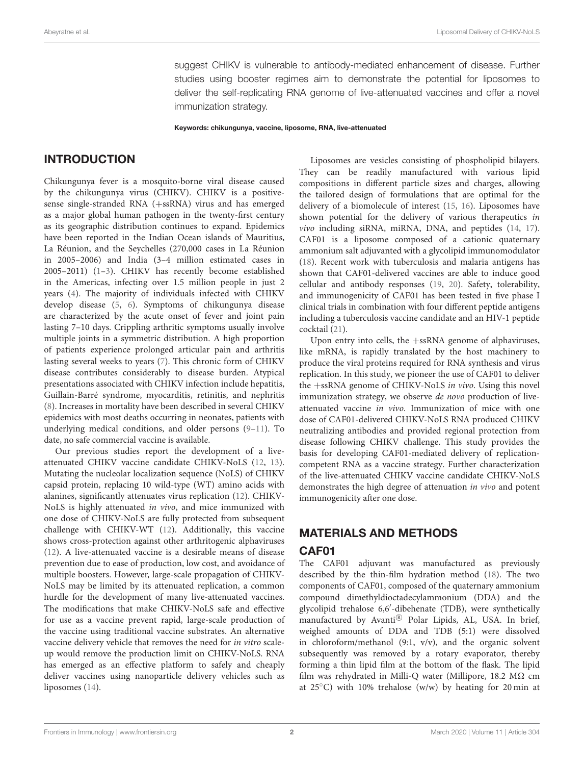suggest CHIKV is vulnerable to antibody-mediated enhancement of disease. Further studies using booster regimes aim to demonstrate the potential for liposomes to deliver the self-replicating RNA genome of live-attenuated vaccines and offer a novel immunization strategy.

Keywords: chikungunya, vaccine, liposome, RNA, live-attenuated

#### INTRODUCTION

Chikungunya fever is a mosquito-borne viral disease caused by the chikungunya virus (CHIKV). CHIKV is a positivesense single-stranded RNA (+ssRNA) virus and has emerged as a major global human pathogen in the twenty-first century as its geographic distribution continues to expand. Epidemics have been reported in the Indian Ocean islands of Mauritius, La Réunion, and the Seychelles (270,000 cases in La Réunion in 2005–2006) and India (3–4 million estimated cases in 2005–2011) (1–3). CHIKV has recently become established in the Americas, infecting over 1.5 million people in just 2 years (4). The majority of individuals infected with CHIKV develop disease (5, 6). Symptoms of chikungunya disease are characterized by the acute onset of fever and joint pain lasting 7–10 days. Crippling arthritic symptoms usually involve multiple joints in a symmetric distribution. A high proportion of patients experience prolonged articular pain and arthritis lasting several weeks to years (7). This chronic form of CHIKV disease contributes considerably to disease burden. Atypical presentations associated with CHIKV infection include hepatitis, Guillain-Barré syndrome, myocarditis, retinitis, and nephritis (8). Increases in mortality have been described in several CHIKV epidemics with most deaths occurring in neonates, patients with underlying medical conditions, and older persons (9–11). To date, no safe commercial vaccine is available.

Our previous studies report the development of a liveattenuated CHIKV vaccine candidate CHIKV-NoLS (12, 13). Mutating the nucleolar localization sequence (NoLS) of CHIKV capsid protein, replacing 10 wild-type (WT) amino acids with alanines, significantly attenuates virus replication (12). CHIKV-NoLS is highly attenuated in vivo, and mice immunized with one dose of CHIKV-NoLS are fully protected from subsequent challenge with CHIKV-WT (12). Additionally, this vaccine shows cross-protection against other arthritogenic alphaviruses (12). A live-attenuated vaccine is a desirable means of disease prevention due to ease of production, low cost, and avoidance of multiple boosters. However, large-scale propagation of CHIKV-NoLS may be limited by its attenuated replication, a common hurdle for the development of many live-attenuated vaccines. The modifications that make CHIKV-NoLS safe and effective for use as a vaccine prevent rapid, large-scale production of the vaccine using traditional vaccine substrates. An alternative vaccine delivery vehicle that removes the need for in vitro scaleup would remove the production limit on CHIKV-NoLS. RNA has emerged as an effective platform to safely and cheaply deliver vaccines using nanoparticle delivery vehicles such as liposomes (14).

Liposomes are vesicles consisting of phospholipid bilayers. They can be readily manufactured with various lipid compositions in different particle sizes and charges, allowing the tailored design of formulations that are optimal for the delivery of a biomolecule of interest (15, 16). Liposomes have shown potential for the delivery of various therapeutics in vivo including siRNA, miRNA, DNA, and peptides (14, 17). CAF01 is a liposome composed of a cationic quaternary ammonium salt adjuvanted with a glycolipid immunomodulator (18). Recent work with tuberculosis and malaria antigens has shown that CAF01-delivered vaccines are able to induce good cellular and antibody responses (19, 20). Safety, tolerability, and immunogenicity of CAF01 has been tested in five phase I clinical trials in combination with four different peptide antigens including a tuberculosis vaccine candidate and an HIV-1 peptide cocktail (21).

Upon entry into cells, the +ssRNA genome of alphaviruses, like mRNA, is rapidly translated by the host machinery to produce the viral proteins required for RNA synthesis and virus replication. In this study, we pioneer the use of CAF01 to deliver the +ssRNA genome of CHIKV-NoLS in vivo. Using this novel immunization strategy, we observe de novo production of liveattenuated vaccine in vivo. Immunization of mice with one dose of CAF01-delivered CHIKV-NoLS RNA produced CHIKV neutralizing antibodies and provided regional protection from disease following CHIKV challenge. This study provides the basis for developing CAF01-mediated delivery of replicationcompetent RNA as a vaccine strategy. Further characterization of the live-attenuated CHIKV vaccine candidate CHIKV-NoLS demonstrates the high degree of attenuation in vivo and potent immunogenicity after one dose.

#### MATERIALS AND METHODS

#### CAF01

The CAF01 adjuvant was manufactured as previously described by the thin-film hydration method (18). The two components of CAF01, composed of the quaternary ammonium compound dimethyldioctadecylammonium (DDA) and the glycolipid trehalose 6,6′ -dibehenate (TDB), were synthetically manufactured by Avanti® Polar Lipids, AL, USA. In brief, weighed amounts of DDA and TDB (5:1) were dissolved in chloroform/methanol  $(9:1, v/v)$ , and the organic solvent subsequently was removed by a rotary evaporator, thereby forming a thin lipid film at the bottom of the flask. The lipid film was rehydrated in Milli-Q water (Millipore, 18.2  $M\Omega$  cm at  $25^{\circ}$ C) with 10% trehalose (w/w) by heating for 20 min at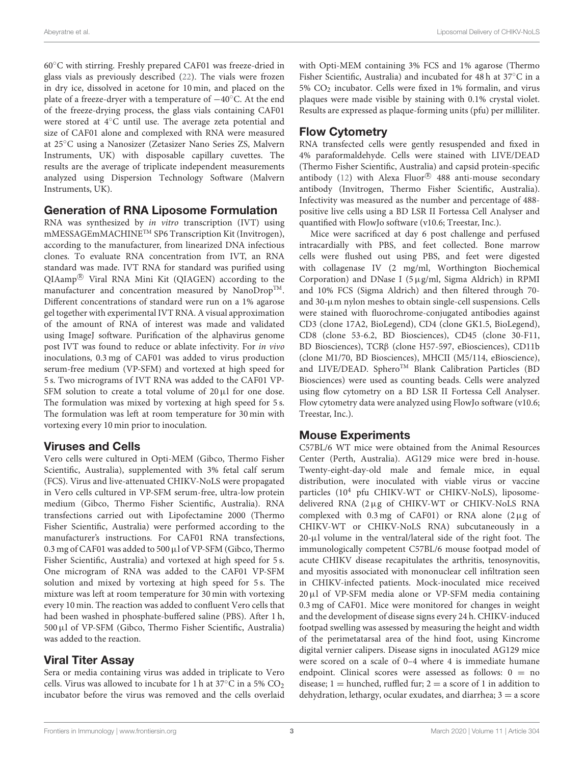60◦C with stirring. Freshly prepared CAF01 was freeze-dried in glass vials as previously described (22). The vials were frozen in dry ice, dissolved in acetone for 10 min, and placed on the plate of a freeze-dryer with a temperature of −40◦C. At the end of the freeze-drying process, the glass vials containing CAF01 were stored at 4◦C until use. The average zeta potential and size of CAF01 alone and complexed with RNA were measured at 25◦C using a Nanosizer (Zetasizer Nano Series ZS, Malvern Instruments, UK) with disposable capillary cuvettes. The results are the average of triplicate independent measurements analyzed using Dispersion Technology Software (Malvern Instruments, UK).

#### Generation of RNA Liposome Formulation

RNA was synthesized by in vitro transcription (IVT) using mMESSAGEmMACHINETM SP6 Transcription Kit (Invitrogen), according to the manufacturer, from linearized DNA infectious clones. To evaluate RNA concentration from IVT, an RNA standard was made. IVT RNA for standard was purified using QIAamp <sup>R</sup> Viral RNA Mini Kit (QIAGEN) according to the manufacturer and concentration measured by NanoDrop<sup>TM</sup>. Different concentrations of standard were run on a 1% agarose gel together with experimental IVT RNA. A visual approximation of the amount of RNA of interest was made and validated using ImageJ software. Purification of the alphavirus genome post IVT was found to reduce or ablate infectivity. For in vivo inoculations, 0.3 mg of CAF01 was added to virus production serum-free medium (VP-SFM) and vortexed at high speed for 5 s. Two micrograms of IVT RNA was added to the CAF01 VP-SFM solution to create a total volume of  $20 \mu l$  for one dose. The formulation was mixed by vortexing at high speed for 5 s. The formulation was left at room temperature for 30 min with vortexing every 10 min prior to inoculation.

#### Viruses and Cells

Vero cells were cultured in Opti-MEM (Gibco, Thermo Fisher Scientific, Australia), supplemented with 3% fetal calf serum (FCS). Virus and live-attenuated CHIKV-NoLS were propagated in Vero cells cultured in VP-SFM serum-free, ultra-low protein medium (Gibco, Thermo Fisher Scientific, Australia). RNA transfections carried out with Lipofectamine 2000 (Thermo Fisher Scientific, Australia) were performed according to the manufacturer's instructions. For CAF01 RNA transfections, 0.3 mg of CAF01 was added to 500 µl of VP-SFM (Gibco, Thermo Fisher Scientific, Australia) and vortexed at high speed for 5 s. One microgram of RNA was added to the CAF01 VP-SFM solution and mixed by vortexing at high speed for 5 s. The mixture was left at room temperature for 30 min with vortexing every 10 min. The reaction was added to confluent Vero cells that had been washed in phosphate-buffered saline (PBS). After 1 h, 500µl of VP-SFM (Gibco, Thermo Fisher Scientific, Australia) was added to the reaction.

# Viral Titer Assay

Sera or media containing virus was added in triplicate to Vero cells. Virus was allowed to incubate for 1 h at  $37^{\circ}$ C in a 5% CO<sub>2</sub> incubator before the virus was removed and the cells overlaid with Opti-MEM containing 3% FCS and 1% agarose (Thermo Fisher Scientific, Australia) and incubated for 48 h at 37◦C in a  $5\%$  CO<sub>2</sub> incubator. Cells were fixed in 1% formalin, and virus plaques were made visible by staining with 0.1% crystal violet. Results are expressed as plaque-forming units (pfu) per milliliter.

# Flow Cytometry

RNA transfected cells were gently resuspended and fixed in 4% paraformaldehyde. Cells were stained with LIVE/DEAD (Thermo Fisher Scientific, Australia) and capsid protein-specific antibody (12) with Alexa Fluor $^{\circledR}$  488 anti-mouse secondary antibody (Invitrogen, Thermo Fisher Scientific, Australia). Infectivity was measured as the number and percentage of 488 positive live cells using a BD LSR II Fortessa Cell Analyser and quantified with FlowJo software (v10.6; Treestar, Inc.).

Mice were sacrificed at day 6 post challenge and perfused intracardially with PBS, and feet collected. Bone marrow cells were flushed out using PBS, and feet were digested with collagenase IV (2 mg/ml, Worthington Biochemical Corporation) and DNase I (5µg/ml, Sigma Aldrich) in RPMI and 10% FCS (Sigma Aldrich) and then filtered through 70 and 30-µm nylon meshes to obtain single-cell suspensions. Cells were stained with fluorochrome-conjugated antibodies against CD3 (clone 17A2, BioLegend), CD4 (clone GK1.5, BioLegend), CD8 (clone 53-6.2, BD Biosciences), CD45 (clone 30-F11, BD Biosciences), TCRβ (clone H57-597, eBiosciences), CD11b (clone M1/70, BD Biosciences), MHCII (M5/114, eBioscience), and LIVE/DEAD. Sphero<sup>TM</sup> Blank Calibration Particles (BD Biosciences) were used as counting beads. Cells were analyzed using flow cytometry on a BD LSR II Fortessa Cell Analyser. Flow cytometry data were analyzed using FlowJo software (v10.6; Treestar, Inc.).

## Mouse Experiments

C57BL/6 WT mice were obtained from the Animal Resources Center (Perth, Australia). AG129 mice were bred in-house. Twenty-eight-day-old male and female mice, in equal distribution, were inoculated with viable virus or vaccine particles (10<sup>4</sup> pfu CHIKV-WT or CHIKV-NoLS), liposomedelivered RNA (2µg of CHIKV-WT or CHIKV-NoLS RNA complexed with  $0.3 \text{ mg}$  of CAF01) or RNA alone  $(2 \mu g)$  of CHIKV-WT or CHIKV-NoLS RNA) subcutaneously in a 20-µl volume in the ventral/lateral side of the right foot. The immunologically competent C57BL/6 mouse footpad model of acute CHIKV disease recapitulates the arthritis, tenosynovitis, and myositis associated with mononuclear cell infiltration seen in CHIKV-infected patients. Mock-inoculated mice received 20µl of VP-SFM media alone or VP-SFM media containing 0.3 mg of CAF01. Mice were monitored for changes in weight and the development of disease signs every 24 h. CHIKV-induced footpad swelling was assessed by measuring the height and width of the perimetatarsal area of the hind foot, using Kincrome digital vernier calipers. Disease signs in inoculated AG129 mice were scored on a scale of 0–4 where 4 is immediate humane endpoint. Clinical scores were assessed as follows:  $0 = no$ disease;  $1 =$  hunched, ruffled fur;  $2 =$  a score of 1 in addition to dehydration, lethargy, ocular exudates, and diarrhea;  $3 = a$  score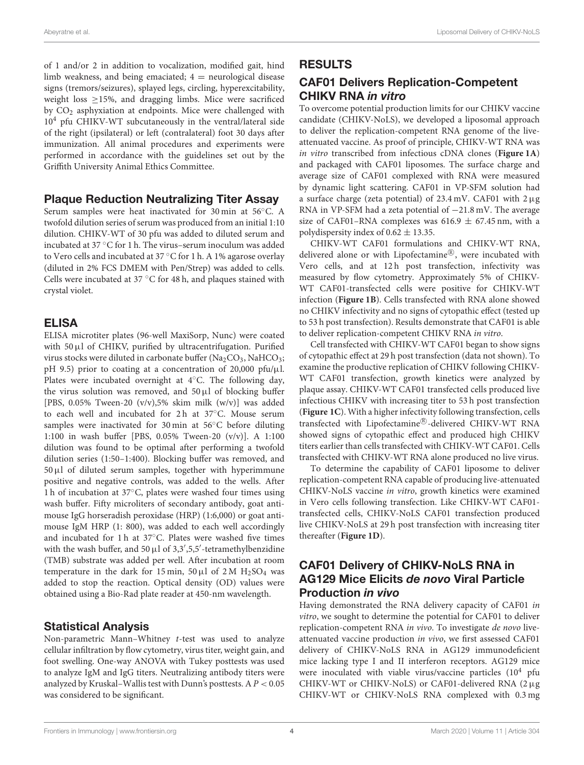of 1 and/or 2 in addition to vocalization, modified gait, hind limb weakness, and being emaciated;  $4 =$  neurological disease signs (tremors/seizures), splayed legs, circling, hyperexcitability, weight loss  $\geq$ 15%, and dragging limbs. Mice were sacrificed by CO<sup>2</sup> asphyxiation at endpoints. Mice were challenged with 10<sup>4</sup> pfu CHIKV-WT subcutaneously in the ventral/lateral side of the right (ipsilateral) or left (contralateral) foot 30 days after immunization. All animal procedures and experiments were performed in accordance with the guidelines set out by the Griffith University Animal Ethics Committee.

#### Plaque Reduction Neutralizing Titer Assay

Serum samples were heat inactivated for 30 min at 56◦C. A twofold dilution series of serum was produced from an initial 1:10 dilution. CHIKV-WT of 30 pfu was added to diluted serum and incubated at 37 ◦C for 1 h. The virus–serum inoculum was added to Vero cells and incubated at 37 ◦C for 1 h. A 1% agarose overlay (diluted in 2% FCS DMEM with Pen/Strep) was added to cells. Cells were incubated at 37 ◦C for 48 h, and plaques stained with crystal violet.

#### ELISA

ELISA microtiter plates (96-well MaxiSorp, Nunc) were coated with 50 µl of CHIKV, purified by ultracentrifugation. Purified virus stocks were diluted in carbonate buffer (Na<sub>2</sub>CO<sub>3</sub>, NaHCO<sub>3</sub>; pH 9.5) prior to coating at a concentration of 20,000 pfu/ $\mu$ l. Plates were incubated overnight at 4◦C. The following day, the virus solution was removed, and  $50 \mu l$  of blocking buffer [PBS, 0.05% Tween-20 (v/v),5% skim milk (w/v)] was added to each well and incubated for 2h at 37℃. Mouse serum samples were inactivated for 30 min at 56◦C before diluting 1:100 in wash buffer [PBS, 0.05% Tween-20 (v/v)]. A 1:100 dilution was found to be optimal after performing a twofold dilution series (1:50–1:400). Blocking buffer was removed, and  $50 \mu l$  of diluted serum samples, together with hyperimmune positive and negative controls, was added to the wells. After 1 h of incubation at 37◦C, plates were washed four times using wash buffer. Fifty microliters of secondary antibody, goat antimouse IgG horseradish peroxidase (HRP) (1:6,000) or goat antimouse IgM HRP (1: 800), was added to each well accordingly and incubated for 1 h at 37◦C. Plates were washed five times with the wash buffer, and  $50 \mu$ l of  $3,3',5,5'$ -tetramethylbenzidine (TMB) substrate was added per well. After incubation at room temperature in the dark for 15 min, 50  $\mu$ l of 2 M H<sub>2</sub>SO<sub>4</sub> was added to stop the reaction. Optical density (OD) values were obtained using a Bio-Rad plate reader at 450-nm wavelength.

#### Statistical Analysis

Non-parametric Mann–Whitney t-test was used to analyze cellular infiltration by flow cytometry, virus titer, weight gain, and foot swelling. One-way ANOVA with Tukey posttests was used to analyze IgM and IgG titers. Neutralizing antibody titers were analyzed by Kruskal–Wallis test with Dunn's posttests. A  $P < 0.05$ was considered to be significant.

#### RESULTS

# CAF01 Delivers Replication-Competent CHIKV RNA in vitro

To overcome potential production limits for our CHIKV vaccine candidate (CHIKV-NoLS), we developed a liposomal approach to deliver the replication-competent RNA genome of the liveattenuated vaccine. As proof of principle, CHIKV-WT RNA was in vitro transcribed from infectious cDNA clones (**Figure 1A**) and packaged with CAF01 liposomes. The surface charge and average size of CAF01 complexed with RNA were measured by dynamic light scattering. CAF01 in VP-SFM solution had a surface charge (zeta potential) of  $23.4 \text{ mV}$ . CAF01 with  $2 \mu$ g RNA in VP-SFM had a zeta potential of −21.8 mV. The average size of CAF01–RNA complexes was 616.9  $\pm$  67.45 nm, with a polydispersity index of  $0.62 \pm 13.35$ .

CHIKV-WT CAF01 formulations and CHIKV-WT RNA, delivered alone or with Lipofectamine®, were incubated with Vero cells, and at 12 h post transfection, infectivity was measured by flow cytometry. Approximately 5% of CHIKV-WT CAF01-transfected cells were positive for CHIKV-WT infection (**Figure 1B**). Cells transfected with RNA alone showed no CHIKV infectivity and no signs of cytopathic effect (tested up to 53 h post transfection). Results demonstrate that CAF01 is able to deliver replication-competent CHIKV RNA in vitro.

Cell transfected with CHIKV-WT CAF01 began to show signs of cytopathic effect at 29 h post transfection (data not shown). To examine the productive replication of CHIKV following CHIKV-WT CAF01 transfection, growth kinetics were analyzed by plaque assay. CHIKV-WT CAF01 transfected cells produced live infectious CHIKV with increasing titer to 53 h post transfection (**Figure 1C**). With a higher infectivity following transfection, cells transfected with Lipofectamine®-delivered CHIKV-WT RNA showed signs of cytopathic effect and produced high CHIKV titers earlier than cells transfected with CHIKV-WT CAF01. Cells transfected with CHIKV-WT RNA alone produced no live virus.

To determine the capability of CAF01 liposome to deliver replication-competent RNA capable of producing live-attenuated CHIKV-NoLS vaccine in vitro, growth kinetics were examined in Vero cells following transfection. Like CHIKV-WT CAF01 transfected cells, CHIKV-NoLS CAF01 transfection produced live CHIKV-NoLS at 29 h post transfection with increasing titer thereafter (**Figure 1D**).

# CAF01 Delivery of CHIKV-NoLS RNA in AG129 Mice Elicits de novo Viral Particle Production in vivo

Having demonstrated the RNA delivery capacity of CAF01 in vitro, we sought to determine the potential for CAF01 to deliver replication-competent RNA in vivo. To investigate de novo liveattenuated vaccine production in vivo, we first assessed CAF01 delivery of CHIKV-NoLS RNA in AG129 immunodeficient mice lacking type I and II interferon receptors. AG129 mice were inoculated with viable virus/vaccine particles  $(10^4)$  pfu CHIKV-WT or CHIKV-NoLS) or CAF01-delivered RNA (2µg CHIKV-WT or CHIKV-NoLS RNA complexed with 0.3 mg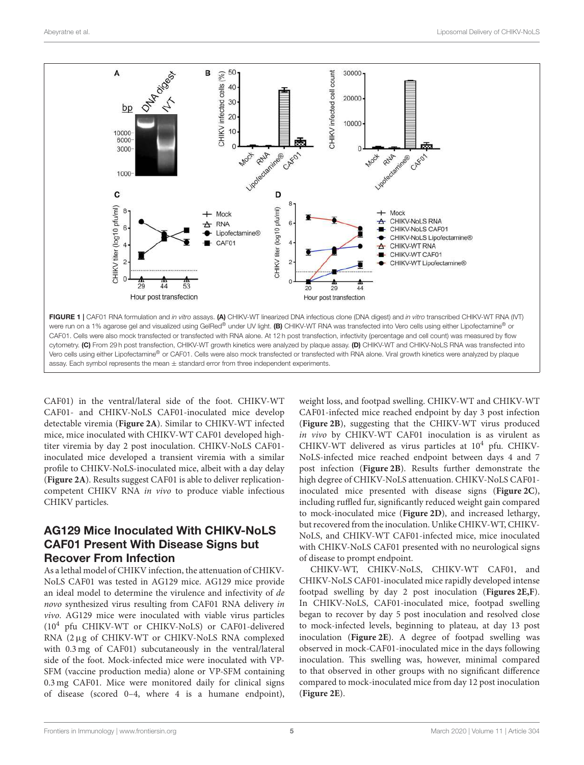

CAF01) in the ventral/lateral side of the foot. CHIKV-WT CAF01- and CHIKV-NoLS CAF01-inoculated mice develop detectable viremia (**Figure 2A**). Similar to CHIKV-WT infected mice, mice inoculated with CHIKV-WT CAF01 developed hightiter viremia by day 2 post inoculation. CHIKV-NoLS CAF01 inoculated mice developed a transient viremia with a similar profile to CHIKV-NoLS-inoculated mice, albeit with a day delay (**Figure 2A**). Results suggest CAF01 is able to deliver replicationcompetent CHIKV RNA in vivo to produce viable infectious CHIKV particles.

# AG129 Mice Inoculated With CHIKV-NoLS CAF01 Present With Disease Signs but Recover From Infection

As a lethal model of CHIKV infection, the attenuation of CHIKV-NoLS CAF01 was tested in AG129 mice. AG129 mice provide an ideal model to determine the virulence and infectivity of de novo synthesized virus resulting from CAF01 RNA delivery in vivo. AG129 mice were inoculated with viable virus particles (10<sup>4</sup> pfu CHIKV-WT or CHIKV-NoLS) or CAF01-delivered RNA (2µg of CHIKV-WT or CHIKV-NoLS RNA complexed with 0.3 mg of CAF01) subcutaneously in the ventral/lateral side of the foot. Mock-infected mice were inoculated with VP-SFM (vaccine production media) alone or VP-SFM containing 0.3 mg CAF01. Mice were monitored daily for clinical signs of disease (scored 0–4, where 4 is a humane endpoint), weight loss, and footpad swelling. CHIKV-WT and CHIKV-WT CAF01-infected mice reached endpoint by day 3 post infection (**Figure 2B**), suggesting that the CHIKV-WT virus produced in vivo by CHIKV-WT CAF01 inoculation is as virulent as CHIKV-WT delivered as virus particles at  $10^4$  pfu. CHIKV-NoLS-infected mice reached endpoint between days 4 and 7 post infection (**Figure 2B**). Results further demonstrate the high degree of CHIKV-NoLS attenuation. CHIKV-NoLS CAF01 inoculated mice presented with disease signs (**Figure 2C**), including ruffled fur, significantly reduced weight gain compared to mock-inoculated mice (**Figure 2D**), and increased lethargy, but recovered from the inoculation. Unlike CHIKV-WT, CHIKV-NoLS, and CHIKV-WT CAF01-infected mice, mice inoculated with CHIKV-NoLS CAF01 presented with no neurological signs of disease to prompt endpoint.

CHIKV-WT, CHIKV-NoLS, CHIKV-WT CAF01, and CHIKV-NoLS CAF01-inoculated mice rapidly developed intense footpad swelling by day 2 post inoculation (**Figures 2E,F**). In CHIKV-NoLS, CAF01-inoculated mice, footpad swelling began to recover by day 5 post inoculation and resolved close to mock-infected levels, beginning to plateau, at day 13 post inoculation (**Figure 2E**). A degree of footpad swelling was observed in mock-CAF01-inoculated mice in the days following inoculation. This swelling was, however, minimal compared to that observed in other groups with no significant difference compared to mock-inoculated mice from day 12 post inoculation (**Figure 2E**).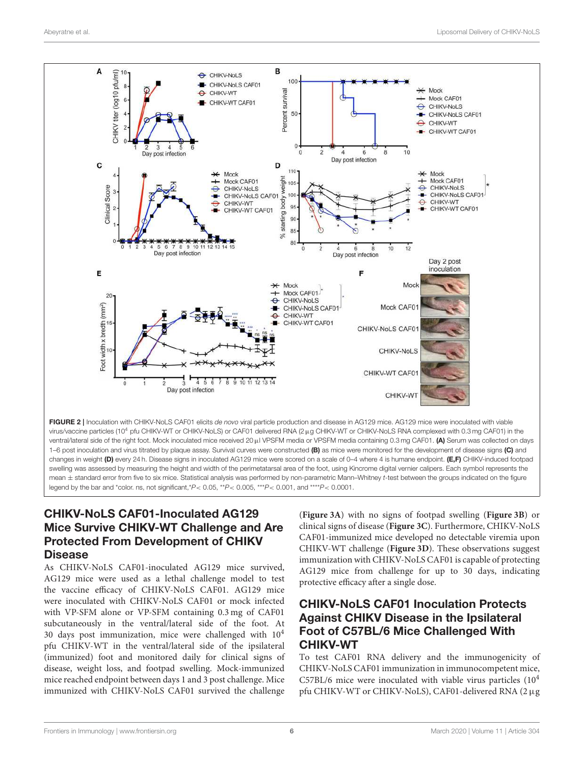

swelling was assessed by measuring the height and width of the perimetatarsal area of the foot, using Kincrome digital vernier calipers. Each symbol represents the mean ± standard error from five to six mice. Statistical analysis was performed by non-parametric Mann–Whitney *t*-test between the groups indicated on the figure legend by the bar and \*color. ns, not significant,\**P*< 0.05, \*\**P*< 0.005, \*\*\**P*< 0.001, and \*\*\*\**P*< 0.0001.

# CHIKV-NoLS CAF01-Inoculated AG129 Mice Survive CHIKV-WT Challenge and Are Protected From Development of CHIKV Disease

As CHIKV-NoLS CAF01-inoculated AG129 mice survived, AG129 mice were used as a lethal challenge model to test the vaccine efficacy of CHIKV-NoLS CAF01. AG129 mice were inoculated with CHIKV-NoLS CAF01 or mock infected with VP-SFM alone or VP-SFM containing 0.3 mg of CAF01 subcutaneously in the ventral/lateral side of the foot. At 30 days post immunization, mice were challenged with  $10<sup>4</sup>$ pfu CHIKV-WT in the ventral/lateral side of the ipsilateral (immunized) foot and monitored daily for clinical signs of disease, weight loss, and footpad swelling. Mock-immunized mice reached endpoint between days 1 and 3 post challenge. Mice immunized with CHIKV-NoLS CAF01 survived the challenge

(**Figure 3A**) with no signs of footpad swelling (**Figure 3B**) or clinical signs of disease (**Figure 3C**). Furthermore, CHIKV-NoLS CAF01-immunized mice developed no detectable viremia upon CHIKV-WT challenge (**Figure 3D**). These observations suggest immunization with CHIKV-NoLS CAF01 is capable of protecting AG129 mice from challenge for up to 30 days, indicating protective efficacy after a single dose.

# CHIKV-NoLS CAF01 Inoculation Protects Against CHIKV Disease in the Ipsilateral Foot of C57BL/6 Mice Challenged With CHIKV-WT

To test CAF01 RNA delivery and the immunogenicity of CHIKV-NoLS CAF01 immunization in immunocompetent mice,  $C57BL/6$  mice were inoculated with viable virus particles  $(10<sup>4</sup>$ pfu CHIKV-WT or CHIKV-NoLS), CAF01-delivered RNA (2µg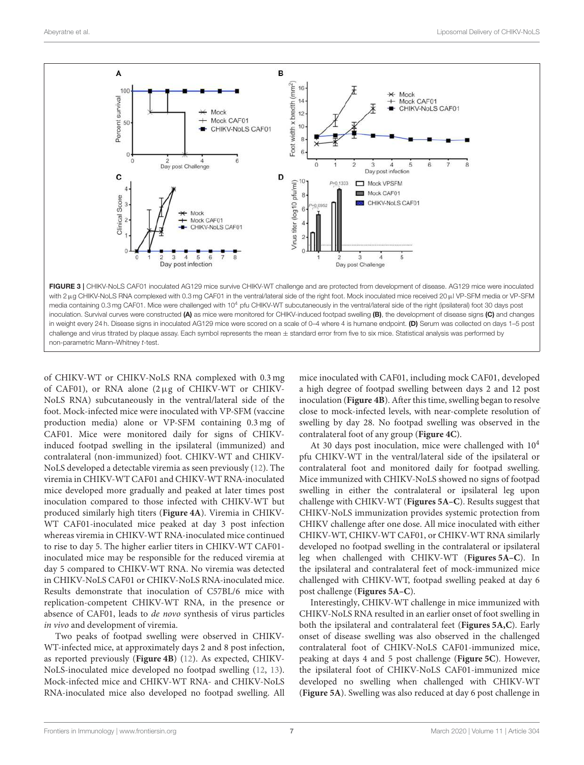

of CHIKV-WT or CHIKV-NoLS RNA complexed with 0.3 mg of CAF01), or RNA alone (2µg of CHIKV-WT or CHIKV-NoLS RNA) subcutaneously in the ventral/lateral side of the foot. Mock-infected mice were inoculated with VP-SFM (vaccine production media) alone or VP-SFM containing 0.3 mg of CAF01. Mice were monitored daily for signs of CHIKVinduced footpad swelling in the ipsilateral (immunized) and contralateral (non-immunized) foot. CHIKV-WT and CHIKV-NoLS developed a detectable viremia as seen previously (12). The viremia in CHIKV-WT CAF01 and CHIKV-WT RNA-inoculated mice developed more gradually and peaked at later times post inoculation compared to those infected with CHIKV-WT but produced similarly high titers (**Figure 4A**). Viremia in CHIKV-WT CAF01-inoculated mice peaked at day 3 post infection whereas viremia in CHIKV-WT RNA-inoculated mice continued to rise to day 5. The higher earlier titers in CHIKV-WT CAF01 inoculated mice may be responsible for the reduced viremia at day 5 compared to CHIKV-WT RNA. No viremia was detected in CHIKV-NoLS CAF01 or CHIKV-NoLS RNA-inoculated mice. Results demonstrate that inoculation of C57BL/6 mice with replication-competent CHIKV-WT RNA, in the presence or absence of CAF01, leads to de novo synthesis of virus particles in vivo and development of viremia.

Two peaks of footpad swelling were observed in CHIKV-WT-infected mice, at approximately days 2 and 8 post infection, as reported previously (**Figure 4B**) (12). As expected, CHIKV-NoLS-inoculated mice developed no footpad swelling (12, 13). Mock-infected mice and CHIKV-WT RNA- and CHIKV-NoLS RNA-inoculated mice also developed no footpad swelling. All mice inoculated with CAF01, including mock CAF01, developed a high degree of footpad swelling between days 2 and 12 post inoculation (**Figure 4B**). After this time, swelling began to resolve close to mock-infected levels, with near-complete resolution of swelling by day 28. No footpad swelling was observed in the contralateral foot of any group (**Figure 4C**).

At 30 days post inoculation, mice were challenged with  $10<sup>4</sup>$ pfu CHIKV-WT in the ventral/lateral side of the ipsilateral or contralateral foot and monitored daily for footpad swelling. Mice immunized with CHIKV-NoLS showed no signs of footpad swelling in either the contralateral or ipsilateral leg upon challenge with CHIKV-WT (**Figures 5A–C**). Results suggest that CHIKV-NoLS immunization provides systemic protection from CHIKV challenge after one dose. All mice inoculated with either CHIKV-WT, CHIKV-WT CAF01, or CHIKV-WT RNA similarly developed no footpad swelling in the contralateral or ipsilateral leg when challenged with CHIKV-WT (**Figures 5A–C**). In the ipsilateral and contralateral feet of mock-immunized mice challenged with CHIKV-WT, footpad swelling peaked at day 6 post challenge (**Figures 5A–C**).

Interestingly, CHIKV-WT challenge in mice immunized with CHIKV-NoLS RNA resulted in an earlier onset of foot swelling in both the ipsilateral and contralateral feet (**Figures 5A,C**). Early onset of disease swelling was also observed in the challenged contralateral foot of CHIKV-NoLS CAF01-immunized mice, peaking at days 4 and 5 post challenge (**Figure 5C**). However, the ipsilateral foot of CHIKV-NoLS CAF01-immunized mice developed no swelling when challenged with CHIKV-WT (**Figure 5A**). Swelling was also reduced at day 6 post challenge in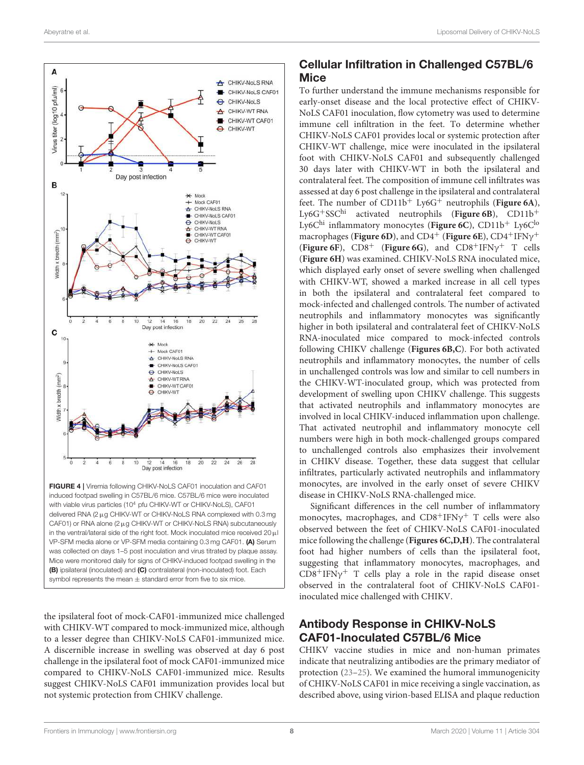

in the ventral/lateral side of the right foot. Mock inoculated mice received  $20 \,\mu$ l VP-SFM media alone or VP-SFM media containing 0.3 mg CAF01. (A) Serum was collected on days 1–5 post inoculation and virus titrated by plaque assay. Mice were monitored daily for signs of CHIKV-induced footpad swelling in the (B) ipsilateral (inoculated) and (C) contralateral (non-inoculated) foot. Each symbol represents the mean  $\pm$  standard error from five to six mice.

the ipsilateral foot of mock-CAF01-immunized mice challenged with CHIKV-WT compared to mock-immunized mice, although to a lesser degree than CHIKV-NoLS CAF01-immunized mice. A discernible increase in swelling was observed at day 6 post challenge in the ipsilateral foot of mock CAF01-immunized mice compared to CHIKV-NoLS CAF01-immunized mice. Results suggest CHIKV-NoLS CAF01 immunization provides local but not systemic protection from CHIKV challenge.

# Cellular Infiltration in Challenged C57BL/6 Mice

To further understand the immune mechanisms responsible for early-onset disease and the local protective effect of CHIKV-NoLS CAF01 inoculation, flow cytometry was used to determine immune cell infiltration in the feet. To determine whether CHIKV-NoLS CAF01 provides local or systemic protection after CHIKV-WT challenge, mice were inoculated in the ipsilateral foot with CHIKV-NoLS CAF01 and subsequently challenged 30 days later with CHIKV-WT in both the ipsilateral and contralateral feet. The composition of immune cell infiltrates was assessed at day 6 post challenge in the ipsilateral and contralateral feet. The number of  $CD11b^{+}$  Ly6G<sup>+</sup> neutrophils (**Figure 6A**), Ly6G+SSChi activated neutrophils (**Figure 6B**), CD11b<sup>+</sup> Ly6C<sup>hi</sup> inflammatory monocytes (Figure 6C), CD11b<sup>+</sup> Ly6C<sup>lo</sup> macrophages (Figure 6D), and CD4<sup>+</sup> (Figure 6E), CD4<sup>+</sup>IFNγ<sup>+</sup> (**Figure 6F**),  $CD8^+$  (**Figure 6G**), and  $CD8^+$  IFN $\gamma^+$  T cells (**Figure 6H**) was examined. CHIKV-NoLS RNA inoculated mice, which displayed early onset of severe swelling when challenged with CHIKV-WT, showed a marked increase in all cell types in both the ipsilateral and contralateral feet compared to mock-infected and challenged controls. The number of activated neutrophils and inflammatory monocytes was significantly higher in both ipsilateral and contralateral feet of CHIKV-NoLS RNA-inoculated mice compared to mock-infected controls following CHIKV challenge (**Figures 6B,C**). For both activated neutrophils and inflammatory monocytes, the number of cells in unchallenged controls was low and similar to cell numbers in the CHIKV-WT-inoculated group, which was protected from development of swelling upon CHIKV challenge. This suggests that activated neutrophils and inflammatory monocytes are involved in local CHIKV-induced inflammation upon challenge. That activated neutrophil and inflammatory monocyte cell numbers were high in both mock-challenged groups compared to unchallenged controls also emphasizes their involvement in CHIKV disease. Together, these data suggest that cellular infiltrates, particularly activated neutrophils and inflammatory monocytes, are involved in the early onset of severe CHIKV disease in CHIKV-NoLS RNA-challenged mice.

Significant differences in the cell number of inflammatory monocytes, macrophages, and  $CDS+IFN\gamma^+$  T cells were also observed between the feet of CHIKV-NoLS CAF01-inoculated mice following the challenge (**Figures 6C,D,H**). The contralateral foot had higher numbers of cells than the ipsilateral foot, suggesting that inflammatory monocytes, macrophages, and  $CDS+IFN\gamma^+$  T cells play a role in the rapid disease onset observed in the contralateral foot of CHIKV-NoLS CAF01 inoculated mice challenged with CHIKV.

# Antibody Response in CHIKV-NoLS CAF01-Inoculated C57BL/6 Mice

CHIKV vaccine studies in mice and non-human primates indicate that neutralizing antibodies are the primary mediator of protection (23–25). We examined the humoral immunogenicity of CHIKV-NoLS CAF01 in mice receiving a single vaccination, as described above, using virion-based ELISA and plaque reduction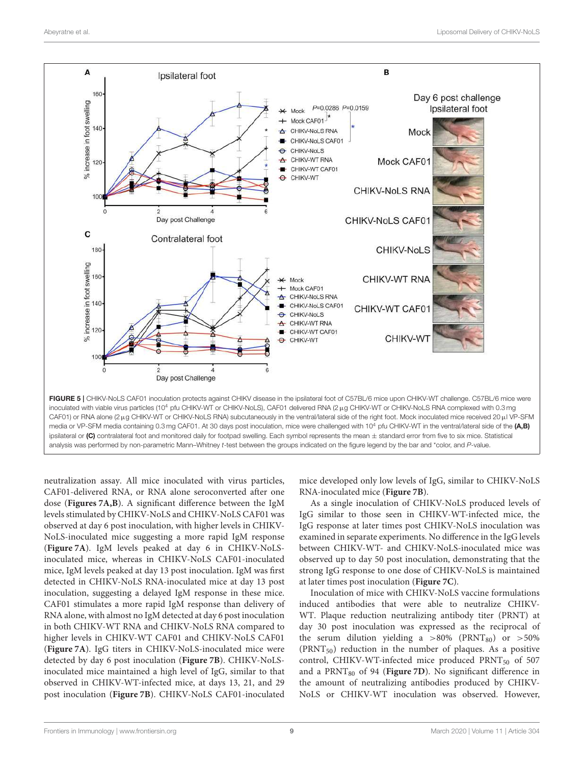Frontiers in Immunology | www.frontiersin.org | www.frontiersin.org | March 2020 | Volume 11 | Article 304



neutralization assay. All mice inoculated with virus particles, CAF01-delivered RNA, or RNA alone seroconverted after one dose (**Figures 7A,B**). A significant difference between the IgM levels stimulated by CHIKV-NoLS and CHIKV-NoLS CAF01 was observed at day 6 post inoculation, with higher levels in CHIKV-NoLS-inoculated mice suggesting a more rapid IgM response (**Figure 7A**). IgM levels peaked at day 6 in CHIKV-NoLSinoculated mice, whereas in CHIKV-NoLS CAF01-inoculated mice, IgM levels peaked at day 13 post inoculation. IgM was first detected in CHIKV-NoLS RNA-inoculated mice at day 13 post inoculation, suggesting a delayed IgM response in these mice. CAF01 stimulates a more rapid IgM response than delivery of RNA alone, with almost no IgM detected at day 6 post inoculation in both CHIKV-WT RNA and CHIKV-NoLS RNA compared to higher levels in CHIKV-WT CAF01 and CHIKV-NoLS CAF01 (**Figure 7A**). IgG titers in CHIKV-NoLS-inoculated mice were detected by day 6 post inoculation (**Figure 7B**). CHIKV-NoLSinoculated mice maintained a high level of IgG, similar to that observed in CHIKV-WT-infected mice, at days 13, 21, and 29 post inoculation (**Figure 7B**). CHIKV-NoLS CAF01-inoculated mice developed only low levels of IgG, similar to CHIKV-NoLS RNA-inoculated mice (**Figure 7B**).

As a single inoculation of CHIKV-NoLS produced levels of IgG similar to those seen in CHIKV-WT-infected mice, the IgG response at later times post CHIKV-NoLS inoculation was examined in separate experiments. No difference in the IgG levels between CHIKV-WT- and CHIKV-NoLS-inoculated mice was observed up to day 50 post inoculation, demonstrating that the strong IgG response to one dose of CHIKV-NoLS is maintained at later times post inoculation (**Figure 7C**).

Inoculation of mice with CHIKV-NoLS vaccine formulations induced antibodies that were able to neutralize CHIKV-WT. Plaque reduction neutralizing antibody titer (PRNT) at day 30 post inoculation was expressed as the reciprocal of the serum dilution yielding a  $>80\%$  (PRNT<sub>80</sub>) or  $>50\%$  $(PRNT<sub>50</sub>)$  reduction in the number of plaques. As a positive control, CHIKV-WT-infected mice produced  $PRNT_{50}$  of 507 and a PRNT<sub>80</sub> of 94 (Figure 7D). No significant difference in the amount of neutralizing antibodies produced by CHIKV-NoLS or CHIKV-WT inoculation was observed. However,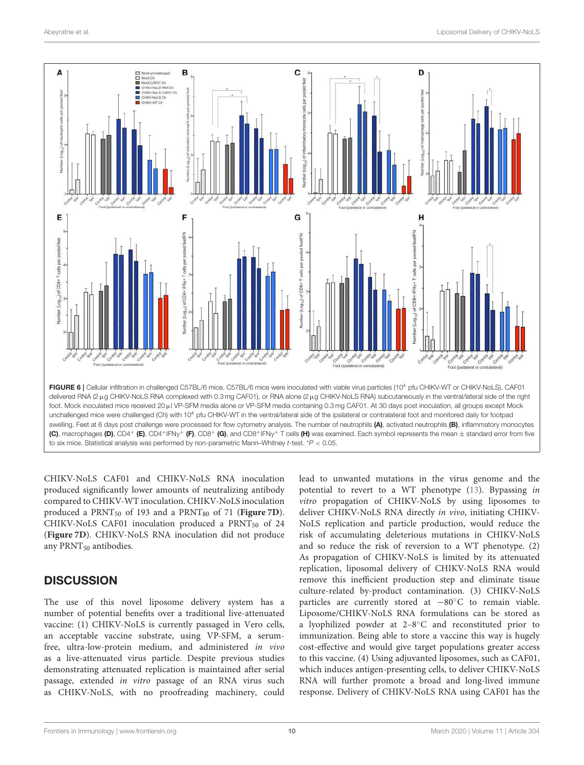

CHIKV-NoLS CAF01 and CHIKV-NoLS RNA inoculation produced significantly lower amounts of neutralizing antibody compared to CHIKV-WT inoculation. CHIKV-NoLS inoculation produced a PRNT<sub>50</sub> of 193 and a PRNT<sub>80</sub> of 71 (**Figure 7D**). CHIKV-NoLS CAF01 inoculation produced a PRNT<sub>50</sub> of 24 (**Figure 7D**). CHIKV-NoLS RNA inoculation did not produce any PRNT<sub>50</sub> antibodies.

## **DISCUSSION**

The use of this novel liposome delivery system has a number of potential benefits over a traditional live-attenuated vaccine: (1) CHIKV-NoLS is currently passaged in Vero cells, an acceptable vaccine substrate, using VP-SFM, a serumfree, ultra-low-protein medium, and administered in vivo as a live-attenuated virus particle. Despite previous studies demonstrating attenuated replication is maintained after serial passage, extended in vitro passage of an RNA virus such as CHIKV-NoLS, with no proofreading machinery, could lead to unwanted mutations in the virus genome and the potential to revert to a WT phenotype (13). Bypassing in vitro propagation of CHIKV-NoLS by using liposomes to deliver CHIKV-NoLS RNA directly in vivo, initiating CHIKV-NoLS replication and particle production, would reduce the risk of accumulating deleterious mutations in CHIKV-NoLS and so reduce the risk of reversion to a WT phenotype. (2) As propagation of CHIKV-NoLS is limited by its attenuated replication, liposomal delivery of CHIKV-NoLS RNA would remove this inefficient production step and eliminate tissue culture-related by-product contamination. (3) CHIKV-NoLS particles are currently stored at −80◦C to remain viable. Liposome/CHIKV-NoLS RNA formulations can be stored as a lyophilized powder at 2–8◦C and reconstituted prior to immunization. Being able to store a vaccine this way is hugely cost-effective and would give target populations greater access to this vaccine. (4) Using adjuvanted liposomes, such as CAF01, which induces antigen-presenting cells, to deliver CHIKV-NoLS RNA will further promote a broad and long-lived immune response. Delivery of CHIKV-NoLS RNA using CAF01 has the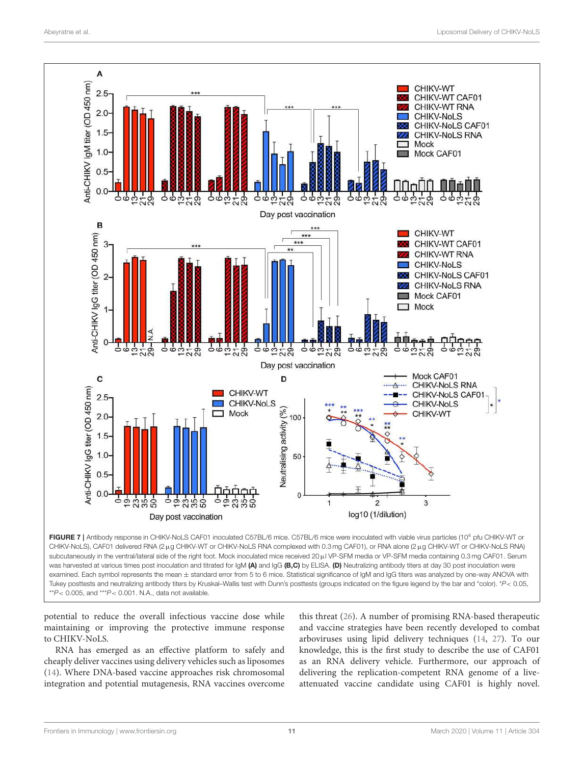

was harvested at various times post inoculation and titrated for IgM (A) and IgG (B,C) by ELISA. (D) Neutralizing antibody titers at day 30 post inoculation were examined. Each symbol represents the mean ± standard error from 5 to 6 mice. Statistical significance of IgM and IgG titers was analyzed by one-way ANOVA with Tukey posttests and neutralizing antibody titers by Kruskal–Wallis test with Dunn's posttests (groups indicated on the figure legend by the bar and \*color). \**P*< 0.05, \*\**P*< 0.005, and \*\*\**P*< 0.001. N.A., data not available.

potential to reduce the overall infectious vaccine dose while maintaining or improving the protective immune response to CHIKV-NoLS.

RNA has emerged as an effective platform to safely and cheaply deliver vaccines using delivery vehicles such as liposomes (14). Where DNA-based vaccine approaches risk chromosomal integration and potential mutagenesis, RNA vaccines overcome this threat (26). A number of promising RNA-based therapeutic and vaccine strategies have been recently developed to combat arboviruses using lipid delivery techniques (14, 27). To our knowledge, this is the first study to describe the use of CAF01 as an RNA delivery vehicle. Furthermore, our approach of delivering the replication-competent RNA genome of a liveattenuated vaccine candidate using CAF01 is highly novel.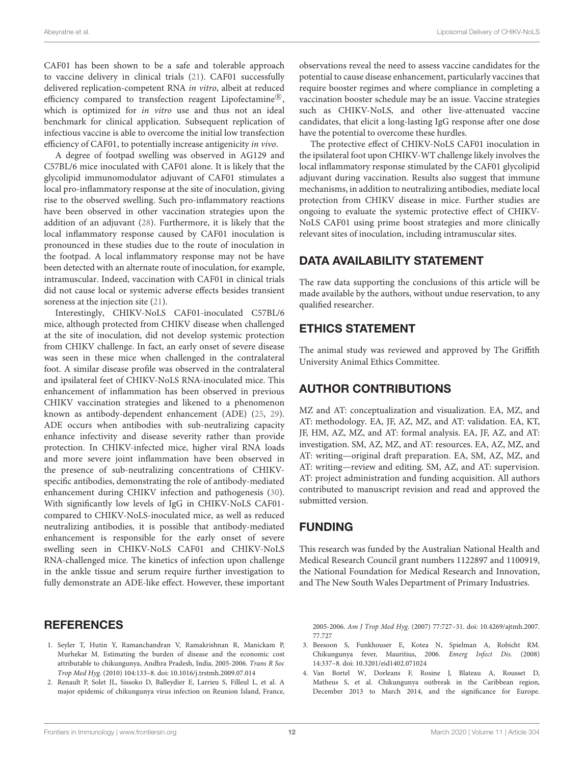CAF01 has been shown to be a safe and tolerable approach to vaccine delivery in clinical trials (21). CAF01 successfully delivered replication-competent RNA in vitro, albeit at reduced efficiency compared to transfection reagent Lipofectamine®, which is optimized for in vitro use and thus not an ideal benchmark for clinical application. Subsequent replication of infectious vaccine is able to overcome the initial low transfection efficiency of CAF01, to potentially increase antigenicity in vivo.

A degree of footpad swelling was observed in AG129 and C57BL/6 mice inoculated with CAF01 alone. It is likely that the glycolipid immunomodulator adjuvant of CAF01 stimulates a local pro-inflammatory response at the site of inoculation, giving rise to the observed swelling. Such pro-inflammatory reactions have been observed in other vaccination strategies upon the addition of an adjuvant (28). Furthermore, it is likely that the local inflammatory response caused by CAF01 inoculation is pronounced in these studies due to the route of inoculation in the footpad. A local inflammatory response may not be have been detected with an alternate route of inoculation, for example, intramuscular. Indeed, vaccination with CAF01 in clinical trials did not cause local or systemic adverse effects besides transient soreness at the injection site (21).

Interestingly, CHIKV-NoLS CAF01-inoculated C57BL/6 mice, although protected from CHIKV disease when challenged at the site of inoculation, did not develop systemic protection from CHIKV challenge. In fact, an early onset of severe disease was seen in these mice when challenged in the contralateral foot. A similar disease profile was observed in the contralateral and ipsilateral feet of CHIKV-NoLS RNA-inoculated mice. This enhancement of inflammation has been observed in previous CHIKV vaccination strategies and likened to a phenomenon known as antibody-dependent enhancement (ADE) (25, 29). ADE occurs when antibodies with sub-neutralizing capacity enhance infectivity and disease severity rather than provide protection. In CHIKV-infected mice, higher viral RNA loads and more severe joint inflammation have been observed in the presence of sub-neutralizing concentrations of CHIKVspecific antibodies, demonstrating the role of antibody-mediated enhancement during CHIKV infection and pathogenesis (30). With significantly low levels of IgG in CHIKV-NoLS CAF01 compared to CHIKV-NoLS-inoculated mice, as well as reduced neutralizing antibodies, it is possible that antibody-mediated enhancement is responsible for the early onset of severe swelling seen in CHIKV-NoLS CAF01 and CHIKV-NoLS RNA-challenged mice. The kinetics of infection upon challenge in the ankle tissue and serum require further investigation to fully demonstrate an ADE-like effect. However, these important

## **REFERENCES**

- 1. Seyler T, Hutin Y, Ramanchandran V, Ramakrishnan R, Manickam P, Murhekar M. Estimating the burden of disease and the economic cost attributable to chikungunya, Andhra Pradesh, India, 2005-2006. Trans R Soc Trop Med Hyg. (2010) 104:133–8. doi: 10.1016/j.trstmh.2009.07.014
- 2. Renault P, Solet JL, Sissoko D, Balleydier E, Larrieu S, Filleul L, et al. A major epidemic of chikungunya virus infection on Reunion Island, France,

observations reveal the need to assess vaccine candidates for the potential to cause disease enhancement, particularly vaccines that require booster regimes and where compliance in completing a vaccination booster schedule may be an issue. Vaccine strategies such as CHIKV-NoLS, and other live-attenuated vaccine candidates, that elicit a long-lasting IgG response after one dose have the potential to overcome these hurdles.

The protective effect of CHIKV-NoLS CAF01 inoculation in the ipsilateral foot upon CHIKV-WT challenge likely involves the local inflammatory response stimulated by the CAF01 glycolipid adjuvant during vaccination. Results also suggest that immune mechanisms, in addition to neutralizing antibodies, mediate local protection from CHIKV disease in mice. Further studies are ongoing to evaluate the systemic protective effect of CHIKV-NoLS CAF01 using prime boost strategies and more clinically relevant sites of inoculation, including intramuscular sites.

## DATA AVAILABILITY STATEMENT

The raw data supporting the conclusions of this article will be made available by the authors, without undue reservation, to any qualified researcher.

## ETHICS STATEMENT

The animal study was reviewed and approved by The Griffith University Animal Ethics Committee.

# AUTHOR CONTRIBUTIONS

MZ and AT: conceptualization and visualization. EA, MZ, and AT: methodology. EA, JF, AZ, MZ, and AT: validation. EA, KT, JF, HM, AZ, MZ, and AT: formal analysis. EA, JF, AZ, and AT: investigation. SM, AZ, MZ, and AT: resources. EA, AZ, MZ, and AT: writing—original draft preparation. EA, SM, AZ, MZ, and AT: writing—review and editing. SM, AZ, and AT: supervision. AT: project administration and funding acquisition. All authors contributed to manuscript revision and read and approved the submitted version.

# FUNDING

This research was funded by the Australian National Health and Medical Research Council grant numbers 1122897 and 1100919, the National Foundation for Medical Research and Innovation, and The New South Wales Department of Primary Industries.

2005-2006. Am J Trop Med Hyg. (2007) 77:727–31. doi: 10.4269/ajtmh.2007. 77.727

- 3. Beesoon S, Funkhouser E, Kotea N, Spielman A, Robicht RM. Chikungunya fever, Mauritius, 2006. Emerg Infect Dis. (2008) 14:337–8. doi: 10.3201/eid1402.071024
- 4. Van Bortel W, Dorleans F, Rosine J, Blateau A, Rousset D, Matheus S, et al. Chikungunya outbreak in the Caribbean region, December 2013 to March 2014, and the significance for Europe.